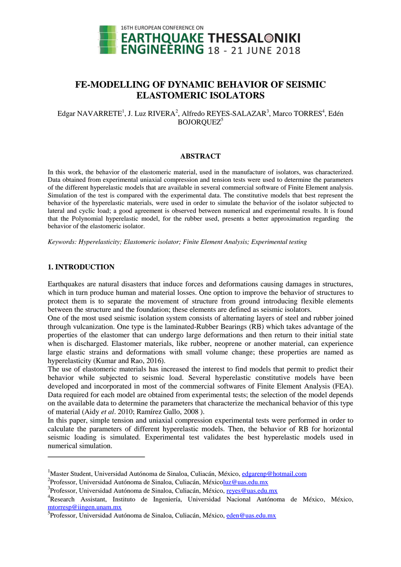

# **FE-MODELLING OF DYNAMIC BEHAVIOR OF SEISMIC ELASTOMERIC ISOLATORS**

# Edgar NAVARRETE<sup>1</sup>, J. Luz RIVERA<sup>2</sup>, Alfredo REYES-SALAZAR<sup>3</sup>, Marco TORRES<sup>4</sup>, Edén BOJOROUEZ<sup>5</sup>

#### **ABSTRACT**

In this work, the behavior of the elastomeric material, used in the manufacture of isolators, was characterized. Data obtained from experimental uniaxial compression and tension tests were used to determine the parameters of the different hyperelastic models that are available in several commercial software of Finite Element analysis. Simulation of the test is compared with the experimental data. The constitutive models that best represent the behavior of the hyperelastic materials, were used in order to simulate the behavior of the isolator subjected to lateral and cyclic load; a good agreement is observed between numerical and experimental results. It is found that the Polynomial hyperelastic model, for the rubber used, presents a better approximation regarding the behavior of the elastomeric isolator.

*Keywords: Hyperelasticity; Elastomeric isolator; Finite Element Analysis; Experimental testing*

## **1. INTRODUCTION**

l

Earthquakes are natural disasters that induce forces and deformations causing damages in structures, which in turn produce human and material losses. One option to improve the behavior of structures to protect them is to separate the movement of structure from ground introducing flexible elements between the structure and the foundation; these elements are defined as seismic isolators.

One of the most used seismic isolation system consists of alternating layers of steel and rubber joined through vulcanization. One type is the laminated-Rubber Bearings (RB) which takes advantage of the properties of the elastomer that can undergo large deformations and then return to their initial state when is discharged. Elastomer materials, like rubber, neoprene or another material, can experience large elastic strains and deformations with small volume change; these properties are named as hyperelasticity (Kumar and Rao, 2016).

The use of elastomeric materials has increased the interest to find models that permit to predict their behavior while subjected to seismic load. Several hyperelastic constitutive models have been developed and incorporated in most of the commercial softwares of Finite Element Analysis (FEA). Data required for each model are obtained from experimental tests; the selection of the model depends on the available data to determine the parameters that characterize the mechanical behavior of this type of material (Aidy *et al*. 2010; Ramírez Gallo, 2008 ).

In this paper, simple tension and uniaxial compression experimental tests were performed in order to calculate the parameters of different hyperelastic models. Then, the behavior of RB for horizontal seismic loading is simulated. Experimental test validates the best hyperelastic models used in numerical simulation.

<sup>&</sup>lt;sup>1</sup>Master Student, Universidad Autónoma de Sinaloa, Culiacán, México, [edgarenp@hotmail.com](mailto:edgarenp@hotmail.com)

<sup>&</sup>lt;sup>2</sup> Professor, Universidad Autónoma de Sinaloa, Culiacán, Méxic[oluz@uas.edu.mx](mailto:luz@uas.edu.mx)

<sup>&</sup>lt;sup>3</sup> Professor, Universidad Autónoma de Sinaloa, Culiacán, México, <u>reyes@uas.edu.mx</u>

<sup>&</sup>lt;sup>4</sup>Research Assistant, Instituto de Ingeniería, Universidad Nacional Autónoma de México, México, [mtorresp@iingen.unam.mx](mailto:mtorresp@iingen.unam.mx)

<sup>&</sup>lt;sup>5</sup> Professor, Universidad Autónoma de Sinaloa, Culiacán, México, [eden@uas.edu.mx](mailto:eden@uas.edu.mx)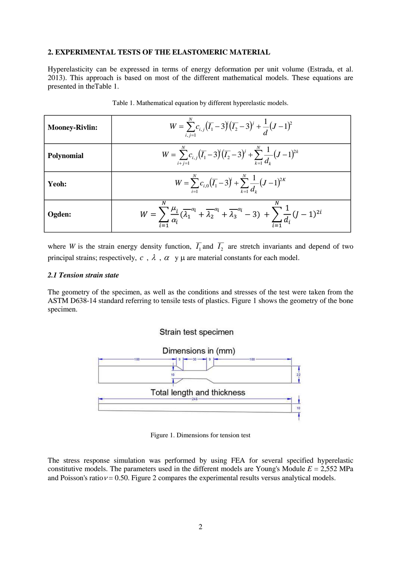## **2. EXPERIMENTAL TESTS OF THE ELASTOMERIC MATERIAL**

Hyperelasticity can be expressed in terms of energy deformation per unit volume (Estrada, et al. 2013). This approach is based on most of the different mathematical models. These equations are presented in theTable 1.

| <b>Mooney-Rivlin:</b> | $W = \sum_{i,j}^{N} c_{i,j} (\overline{I_1} - 3)^{i} (\overline{I_2} - 3)^{j} + \frac{1}{4} (J - 1)^{2}$<br>$i \quad i=1$                                                                                   |
|-----------------------|-------------------------------------------------------------------------------------------------------------------------------------------------------------------------------------------------------------|
| <b>Polynomial</b>     | $W = \sum_{i+j=1}^{N} c_{i,j} (\overline{I_1} - 3)^{i} (\overline{I_2} - 3)^{j} + \sum_{k=1}^{N} \frac{1}{d_k} (J - 1)^{2k}$                                                                                |
| Yeoh:                 | $W = \sum_{i=1}^{N} c_{i,0} (\overline{I_1} - 3)^{i} + \sum_{k=1}^{N} \frac{1}{d_{k}} (J - 1)^{2K}$                                                                                                         |
| Ogden:                | $W = \sum_{i=1}^{\infty} \frac{\mu_i}{\alpha_i} (\overline{\lambda_1}^{\alpha_i} + \overline{\lambda_2}^{\alpha_i} + \overline{\lambda_3}^{\alpha_i} - 3) + \sum_{i=1}^{\infty} \frac{1}{d_i} (J - 1)^{2i}$ |

Table 1. Mathematical equation by different hyperelastic models.

where *W* is the strain energy density function,  $\overline{I_1}$  and  $\overline{I_2}$  are stretch invariants and depend of two principal strains; respectively,  $c$ ,  $\lambda$ ,  $\alpha$  y  $\mu$  are material constants for each model.

## *2.1 Tension strain state*

The geometry of the specimen, as well as the conditions and stresses of the test were taken from the ASTM D638-14 standard referring to tensile tests of plastics. Figure 1 shows the geometry of the bone specimen.



Figure 1. Dimensions for tension test

The stress response simulation was performed by using FEA for several specified hyperelastic constitutive models. The parameters used in the different models are Young's Module  $E = 2,552$  MPa and Poisson's ratio  $v = 0.50$ . Figure 2 compares the experimental results versus analytical models.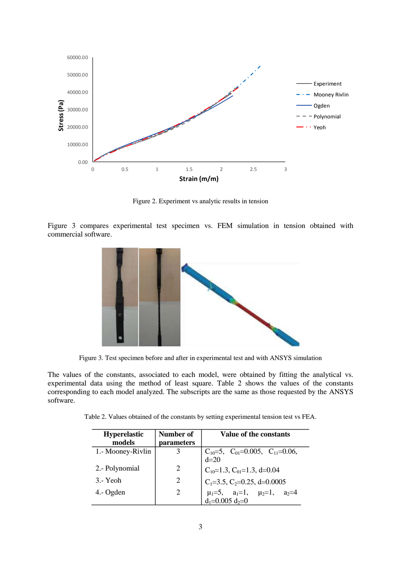

Figure 2. Experiment vs analytic results in tension

Figure 3 compares experimental test specimen vs. FEM simulation in tension obtained with commercial software.



Figure 3. Test specimen before and after in experimental test and with ANSYS simulation

The values of the constants, associated to each model, were obtained by fitting the analytical vs. experimental data using the method of least square. Table 2 shows the values of the constants corresponding to each model analyzed. The subscripts are the same as those requested by the ANSYS software.

Table 2. Values obtained of the constants by setting experimental tension test vs FEA.

| <b>Hyperelastic</b><br>models | Number of<br>parameters | Value of the constants                                                                                                                                                                                               |
|-------------------------------|-------------------------|----------------------------------------------------------------------------------------------------------------------------------------------------------------------------------------------------------------------|
| 1.- Mooney-Rivlin             |                         | $C_{10} = 5$ , $C_{01} = 0.005$ , $C_{11} = 0.06$ ,<br>d=20                                                                                                                                                          |
| 2.- Polynomial                |                         |                                                                                                                                                                                                                      |
| $3 - Y$ eoh                   |                         |                                                                                                                                                                                                                      |
| 4.- Ogden                     |                         | C <sub>10</sub> =1.3, C <sub>01</sub> =1.3, d=0.04<br>C <sub>1</sub> =3.5, C <sub>2</sub> =0.25, d=0.0005<br>$\mu_1=5$ , a <sub>1</sub> =1, $\mu_2=1$ , a <sub>2</sub> =4<br>d <sub>1</sub> =0.005 d <sub>2</sub> =0 |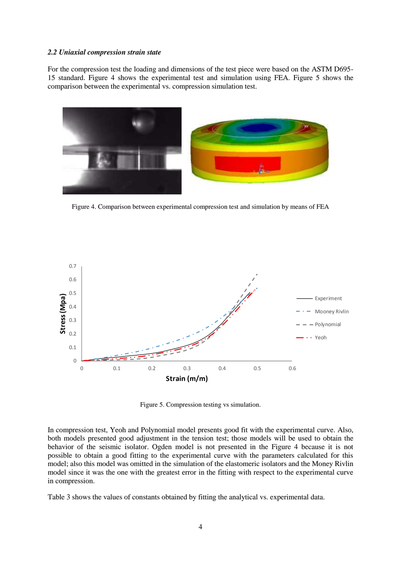#### *2.2 Uniaxial compression strain state*

For the compression test the loading and dimensions of the test piece were based on the ASTM D695- 15 standard. Figure 4 shows the experimental test and simulation using FEA. Figure 5 shows the comparison between the experimental vs. compression simulation test.



Figure 4. Comparison between experimental compression test and simulation by means of FEA



Figure 5. Compression testing vs simulation.

In compression test, Yeoh and Polynomial model presents good fit with the experimental curve. Also, both models presented good adjustment in the tension test; those models will be used to obtain the behavior of the seismic isolator. Ogden model is not presented in the Figure 4 because it is not possible to obtain a good fitting to the experimental curve with the parameters calculated for this model; also this model was omitted in the simulation of the elastomeric isolators and the Money Rivlin model since it was the one with the greatest error in the fitting with respect to the experimental curve in compression.

Table 3 shows the values of constants obtained by fitting the analytical vs. experimental data.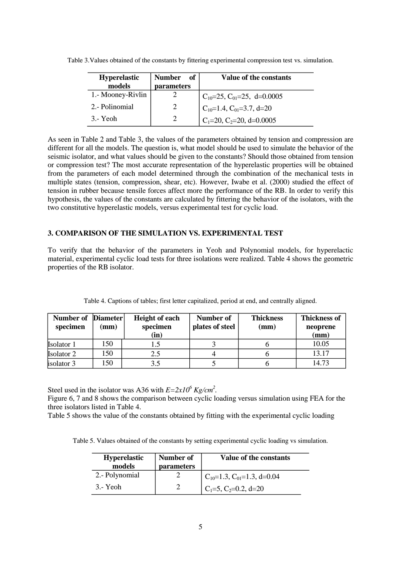| <b>Hyperelastic</b><br>models | <b>Number</b><br>of<br><i>parameters</i> | Value of the constants                   |
|-------------------------------|------------------------------------------|------------------------------------------|
| 1.- Mooney-Rivlin             |                                          | $C_{10} = 25$ , $C_{01} = 25$ , d=0.0005 |
| 2 - Polinomial                |                                          | $C_{10} = 1.4$ , $C_{01} = 3.7$ , d=20   |
| 3.- Yeoh                      |                                          | $C_1 = 20$ , $C_2 = 20$ , d=0.0005       |

Table 3.Values obtained of the constants by fittering experimental compression test vs. simulation.

As seen in Table 2 and Table 3, the values of the parameters obtained by tension and compression are different for all the models. The question is, what model should be used to simulate the behavior of the seismic isolator, and what values should be given to the constants? Should those obtained from tension or compression test? The most accurate representation of the hyperelastic properties will be obtained from the parameters of each model determined through the combination of the mechanical tests in multiple states (tension, compression, shear, etc). However, Iwabe et al. (2000) studied the effect of tension in rubber because tensile forces affect more the performance of the RB. In order to verify this hypothesis, the values of the constants are calculated by fittering the behavior of the isolators, with the two constitutive hyperelastic models, versus experimental test for cyclic load.

# **3. COMPARISON OF THE SIMULATION VS. EXPERIMENTAL TEST**

To verify that the behavior of the parameters in Yeoh and Polynomial models, for hyperelactic material, experimental cyclic load tests for three isolations were realized. Table 4 shows the geometric properties of the RB isolator.

| <b>Number of Diameter</b><br>specimen | $(\mathbf{mm})$ | <b>Height of each</b><br>specimen<br>(in) | Number of<br>plates of steel | <b>Thickness</b><br>(mm) | <b>Thickness of</b><br>neoprene<br>$(\mathbf{mm})$ |
|---------------------------------------|-----------------|-------------------------------------------|------------------------------|--------------------------|----------------------------------------------------|
| Isolator 1                            | 150             |                                           |                              |                          | 10.05                                              |
| Isolator 2                            | 150             | 2.5                                       |                              |                          | 13.17                                              |
| isolator 3                            | l 50            | 3.5                                       |                              |                          | 14.73                                              |

Table 4. Captions of tables; first letter capitalized, period at end, and centrally aligned.

Steel used in the isolator was A36 with  $E=2x10^6$   $Kg/cm^2$ .

Figure 6, 7 and 8 shows the comparison between cyclic loading versus simulation using FEA for the three isolators listed in Table 4.

Table 5 shows the value of the constants obtained by fitting with the experimental cyclic loading

Table 5. Values obtained of the constants by setting experimental cyclic loading vs simulation.

| <b>Hyperelastic</b><br>models | Number of<br>parameters | Value of the constants                   |
|-------------------------------|-------------------------|------------------------------------------|
| 2.- Polynomial                |                         | $C_{10} = 1.3$ , $C_{01} = 1.3$ , d=0.04 |
| 3.- Yeoh                      |                         | $C_1=5$ , $C_2=0.2$ , d=20               |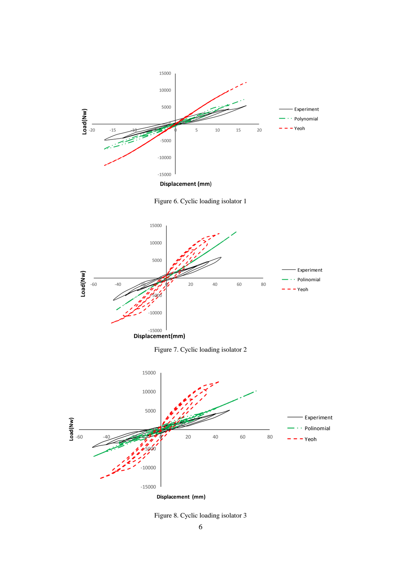

**Displacement (mm**)

Figure 6. Cyclic loading isolator 1



Figure 7. Cyclic loading isolator 2



**Displacement (mm)**

Figure 8. Cyclic loading isolator 3